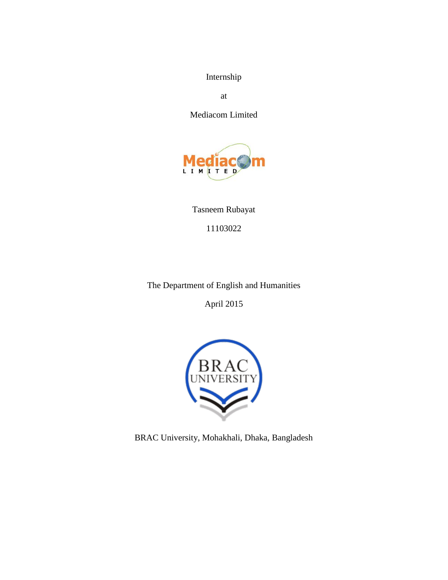Internship

at

Mediacom Limited



Tasneem Rubayat 11103022

The Department of English and Humanities

April 2015



BRAC University, Mohakhali, Dhaka, Bangladesh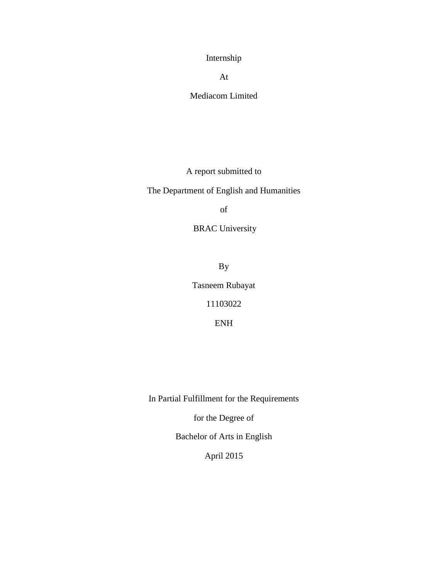Internship

At

Mediacom Limited

A report submitted to

The Department of English and Humanities

of

BRAC University

By

Tasneem Rubayat

11103022

ENH

In Partial Fulfillment for the Requirements

for the Degree of

Bachelor of Arts in English

April 2015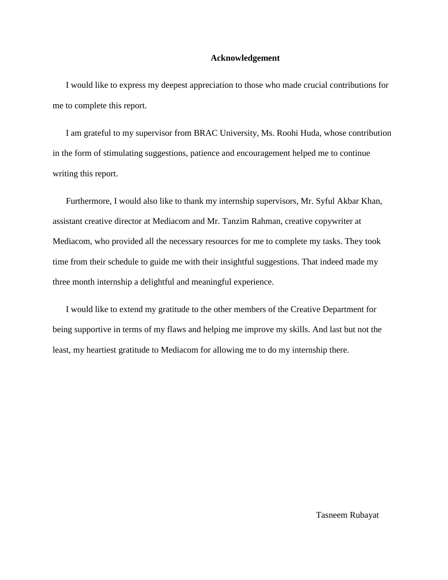## **Acknowledgement**

I would like to express my deepest appreciation to those who made crucial contributions for me to complete this report.

I am grateful to my supervisor from BRAC University, Ms. Roohi Huda, whose contribution in the form of stimulating suggestions, patience and encouragement helped me to continue writing this report.

Furthermore, I would also like to thank my internship supervisors, Mr. Syful Akbar Khan, assistant creative director at Mediacom and Mr. Tanzim Rahman, creative copywriter at Mediacom, who provided all the necessary resources for me to complete my tasks. They took time from their schedule to guide me with their insightful suggestions. That indeed made my three month internship a delightful and meaningful experience.

I would like to extend my gratitude to the other members of the Creative Department for being supportive in terms of my flaws and helping me improve my skills. And last but not the least, my heartiest gratitude to Mediacom for allowing me to do my internship there.

Tasneem Rubayat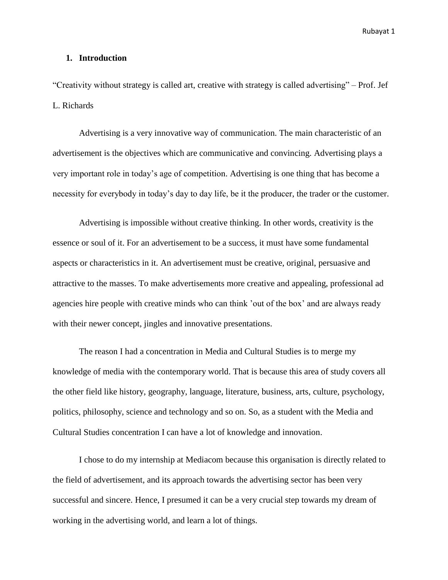## **1. Introduction**

"Creativity without strategy is called art, creative with strategy is called advertising" – Prof. Jef L. Richards

Advertising is a very innovative way of communication. The main characteristic of an advertisement is the objectives which are communicative and convincing. Advertising plays a very important role in today"s age of competition. Advertising is one thing that has become a necessity for everybody in today"s day to day life, be it the producer, the trader or the customer.

Advertising is impossible without creative thinking. In other words, creativity is the essence or soul of it. For an advertisement to be a success, it must have some fundamental aspects or characteristics in it. An advertisement must be creative, original, persuasive and attractive to the masses. To make advertisements more creative and appealing, professional ad agencies hire people with creative minds who can think "out of the box" and are always ready with their newer concept, jingles and innovative presentations.

The reason I had a concentration in Media and Cultural Studies is to merge my knowledge of media with the contemporary world. That is because this area of study covers all the other field like history, geography, language, literature, business, arts, culture, psychology, politics, philosophy, science and technology and so on. So, as a student with the Media and Cultural Studies concentration I can have a lot of knowledge and innovation.

I chose to do my internship at Mediacom because this organisation is directly related to the field of advertisement, and its approach towards the advertising sector has been very successful and sincere. Hence, I presumed it can be a very crucial step towards my dream of working in the advertising world, and learn a lot of things.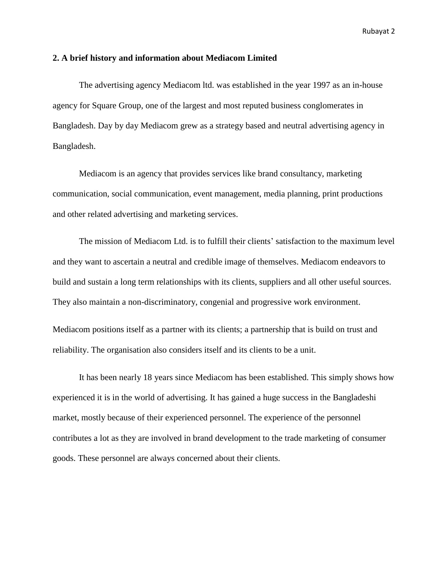## **2. A brief history and information about Mediacom Limited**

The advertising agency Mediacom ltd. was established in the year 1997 as an in-house agency for Square Group, one of the largest and most reputed business conglomerates in Bangladesh. Day by day Mediacom grew as a strategy based and neutral advertising agency in Bangladesh.

Mediacom is an agency that provides services like brand consultancy, marketing communication, social communication, event management, media planning, print productions and other related advertising and marketing services.

The mission of Mediacom Ltd. is to fulfill their clients' satisfaction to the maximum level and they want to ascertain a neutral and credible image of themselves. Mediacom endeavors to build and sustain a long term relationships with its clients, suppliers and all other useful sources. They also maintain a non-discriminatory, congenial and progressive work environment.

Mediacom positions itself as a partner with its clients; a partnership that is build on trust and reliability. The organisation also considers itself and its clients to be a unit.

It has been nearly 18 years since Mediacom has been established. This simply shows how experienced it is in the world of advertising. It has gained a huge success in the Bangladeshi market, mostly because of their experienced personnel. The experience of the personnel contributes a lot as they are involved in brand development to the trade marketing of consumer goods. These personnel are always concerned about their clients.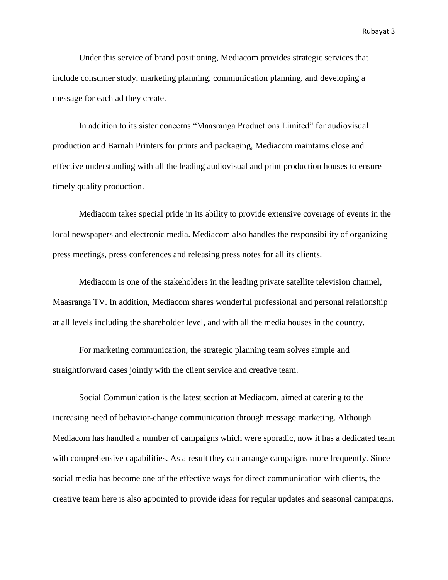Under this service of brand positioning, Mediacom provides strategic services that include consumer study, marketing planning, communication planning, and developing a message for each ad they create.

In addition to its sister concerns "Maasranga Productions Limited" for audiovisual production and Barnali Printers for prints and packaging, Mediacom maintains close and effective understanding with all the leading audiovisual and print production houses to ensure timely quality production.

Mediacom takes special pride in its ability to provide extensive coverage of events in the local newspapers and electronic media. Mediacom also handles the responsibility of organizing press meetings, press conferences and releasing press notes for all its clients.

Mediacom is one of the stakeholders in the leading private satellite television channel, Maasranga TV. In addition, Mediacom shares wonderful professional and personal relationship at all levels including the shareholder level, and with all the media houses in the country.

For marketing communication, the strategic planning team solves simple and straightforward cases jointly with the client service and creative team.

Social Communication is the latest section at Mediacom, aimed at catering to the increasing need of behavior-change communication through message marketing. Although Mediacom has handled a number of campaigns which were sporadic, now it has a dedicated team with comprehensive capabilities. As a result they can arrange campaigns more frequently. Since social media has become one of the effective ways for direct communication with clients, the creative team here is also appointed to provide ideas for regular updates and seasonal campaigns.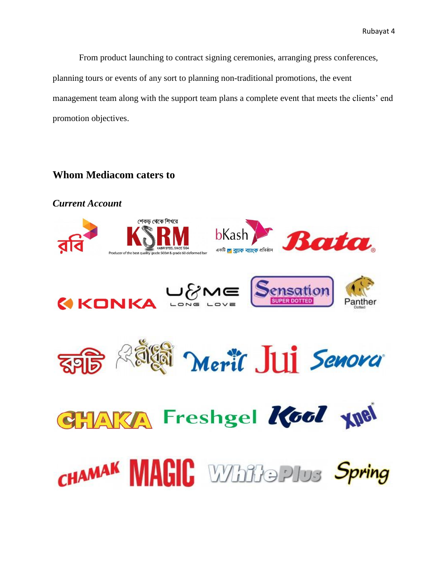From product launching to contract signing ceremonies, arranging press conferences, planning tours or events of any sort to planning non-traditional promotions, the event management team along with the support team plans a complete event that meets the clients' end promotion objectives.

# **Whom Mediacom caters to**

*Current Account*শেকড থেকে শিখরে **bKash Rata** ౼౷౷ Sensation **MKONKA** Panther Merit Jui Senova **KA Freshgel Kool XNel** 

CHAMAK MAGIC White Plus Spring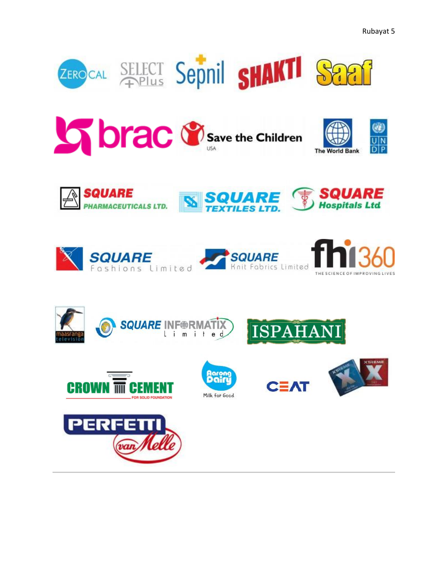







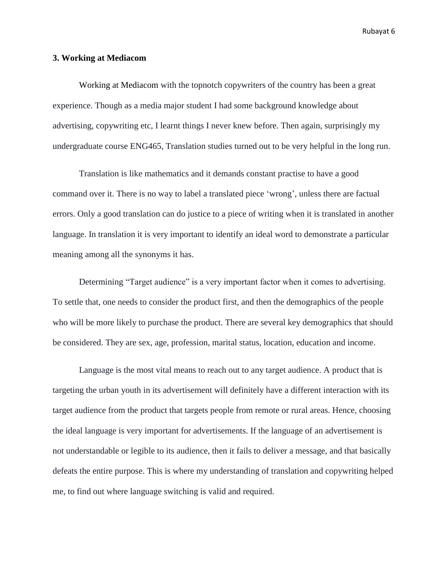## **3. Working at Mediacom**

Working at Mediacom with the topnotch copywriters of the country has been a great experience. Though as a media major student I had some background knowledge about advertising, copywriting etc, I learnt things I never knew before. Then again, surprisingly my undergraduate course ENG465, Translation studies turned out to be very helpful in the long run.

Translation is like mathematics and it demands constant practise to have a good command over it. There is no way to label a translated piece "wrong", unless there are factual errors. Only a good translation can do justice to a piece of writing when it is translated in another language. In translation it is very important to identify an ideal word to demonstrate a particular meaning among all the synonyms it has.

Determining "Target audience" is a very important factor when it comes to advertising. To settle that, one needs to consider the product first, and then the demographics of the people who will be more likely to purchase the product. There are several key demographics that should be considered. They are sex, age, profession, marital status, location, education and income.

Language is the most vital means to reach out to any target audience. A product that is targeting the urban youth in its advertisement will definitely have a different interaction with its target audience from the product that targets people from remote or rural areas. Hence, choosing the ideal language is very important for advertisements. If the language of an advertisement is not understandable or legible to its audience, then it fails to deliver a message, and that basically defeats the entire purpose. This is where my understanding of translation and copywriting helped me, to find out where language switching is valid and required.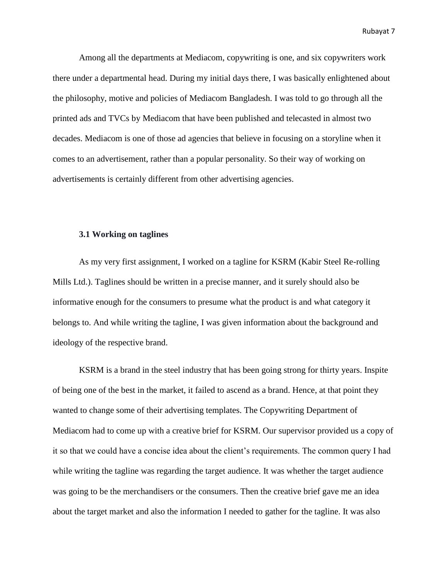Among all the departments at Mediacom, copywriting is one, and six copywriters work there under a departmental head. During my initial days there, I was basically enlightened about the philosophy, motive and policies of Mediacom Bangladesh. I was told to go through all the printed ads and TVCs by Mediacom that have been published and telecasted in almost two decades. Mediacom is one of those ad agencies that believe in focusing on a storyline when it comes to an advertisement, rather than a popular personality. So their way of working on advertisements is certainly different from other advertising agencies.

### **3.1 Working on taglines**

As my very first assignment, I worked on a tagline for KSRM (Kabir Steel Re-rolling Mills Ltd.). Taglines should be written in a precise manner, and it surely should also be informative enough for the consumers to presume what the product is and what category it belongs to. And while writing the tagline, I was given information about the background and ideology of the respective brand.

KSRM is a brand in the steel industry that has been going strong for thirty years. Inspite of being one of the best in the market, it failed to ascend as a brand. Hence, at that point they wanted to change some of their advertising templates. The Copywriting Department of Mediacom had to come up with a creative brief for KSRM. Our supervisor provided us a copy of it so that we could have a concise idea about the client's requirements. The common query I had while writing the tagline was regarding the target audience. It was whether the target audience was going to be the merchandisers or the consumers. Then the creative brief gave me an idea about the target market and also the information I needed to gather for the tagline. It was also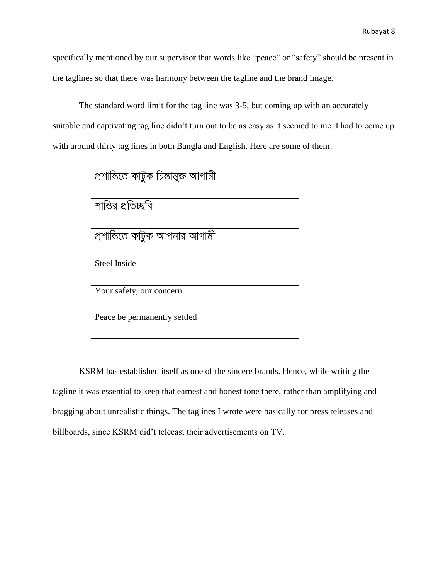specifically mentioned by our supervisor that words like "peace" or "safety" should be present in the taglines so that there was harmony between the tagline and the brand image.

The standard word limit for the tag line was 3-5, but coming up with an accurately suitable and captivating tag line didn"t turn out to be as easy as it seemed to me. I had to come up with around thirty tag lines in both Bangla and English. Here are some of them.

| প্ৰশান্তিতে কাটুক চিন্তামুক্ত আগামী |
|-------------------------------------|
|                                     |
| শান্তির প্রতিচ্ছবি                  |
|                                     |
| প্রশান্তিতে কাটুক আপনার আগামী       |
|                                     |
| <b>Steel Inside</b>                 |
|                                     |
| Your safety, our concern            |
|                                     |
| Peace be permanently settled        |
|                                     |

KSRM has established itself as one of the sincere brands. Hence, while writing the tagline it was essential to keep that earnest and honest tone there, rather than amplifying and bragging about unrealistic things. The taglines I wrote were basically for press releases and billboards, since KSRM did"t telecast their advertisements on TV.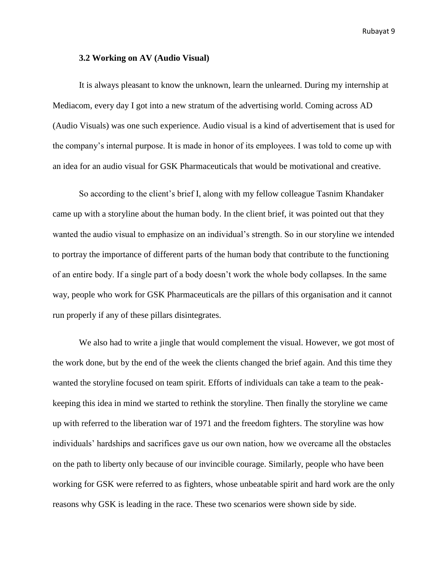#### **3.2 Working on AV (Audio Visual)**

It is always pleasant to know the unknown, learn the unlearned. During my internship at Mediacom, every day I got into a new stratum of the advertising world. Coming across AD (Audio Visuals) was one such experience. Audio visual is a kind of advertisement that is used for the company"s internal purpose. It is made in honor of its employees. I was told to come up with an idea for an audio visual for GSK Pharmaceuticals that would be motivational and creative.

So according to the client's brief I, along with my fellow colleague Tasnim Khandaker came up with a storyline about the human body. In the client brief, it was pointed out that they wanted the audio visual to emphasize on an individual"s strength. So in our storyline we intended to portray the importance of different parts of the human body that contribute to the functioning of an entire body. If a single part of a body doesn"t work the whole body collapses. In the same way, people who work for GSK Pharmaceuticals are the pillars of this organisation and it cannot run properly if any of these pillars disintegrates.

We also had to write a jingle that would complement the visual. However, we got most of the work done, but by the end of the week the clients changed the brief again. And this time they wanted the storyline focused on team spirit. Efforts of individuals can take a team to the peakkeeping this idea in mind we started to rethink the storyline. Then finally the storyline we came up with referred to the liberation war of 1971 and the freedom fighters. The storyline was how individuals" hardships and sacrifices gave us our own nation, how we overcame all the obstacles on the path to liberty only because of our invincible courage. Similarly, people who have been working for GSK were referred to as fighters, whose unbeatable spirit and hard work are the only reasons why GSK is leading in the race. These two scenarios were shown side by side.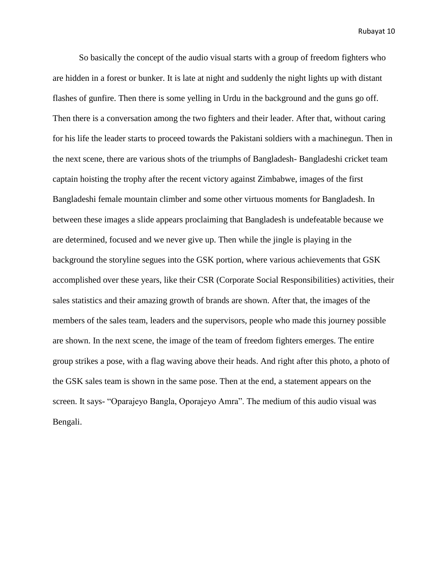So basically the concept of the audio visual starts with a group of freedom fighters who are hidden in a forest or bunker. It is late at night and suddenly the night lights up with distant flashes of gunfire. Then there is some yelling in Urdu in the background and the guns go off. Then there is a conversation among the two fighters and their leader. After that, without caring for his life the leader starts to proceed towards the Pakistani soldiers with a machinegun. Then in the next scene, there are various shots of the triumphs of Bangladesh- Bangladeshi cricket team captain hoisting the trophy after the recent victory against Zimbabwe, images of the first Bangladeshi female mountain climber and some other virtuous moments for Bangladesh. In between these images a slide appears proclaiming that Bangladesh is undefeatable because we are determined, focused and we never give up. Then while the jingle is playing in the background the storyline segues into the GSK portion, where various achievements that GSK accomplished over these years, like their CSR (Corporate Social Responsibilities) activities, their sales statistics and their amazing growth of brands are shown. After that, the images of the members of the sales team, leaders and the supervisors, people who made this journey possible are shown. In the next scene, the image of the team of freedom fighters emerges. The entire group strikes a pose, with a flag waving above their heads. And right after this photo, a photo of the GSK sales team is shown in the same pose. Then at the end, a statement appears on the screen. It says- "Oparajeyo Bangla, Oporajeyo Amra". The medium of this audio visual was Bengali.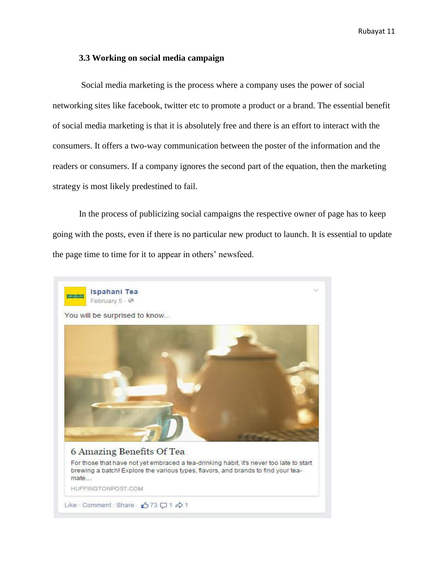## **3.3 Working on social media campaign**

Social media marketing is the process where a company uses the power of social networking sites like facebook, twitter etc to promote a product or a brand. The essential benefit of social media marketing is that it is absolutely free and there is an effort to interact with the consumers. It offers a two-way communication between the poster of the information and the readers or consumers. If a company ignores the second part of the equation, then the marketing strategy is most likely predestined to fail.

In the process of publicizing social campaigns the respective owner of page has to keep going with the posts, even if there is no particular new product to launch. It is essential to update the page time to time for it to appear in others' newsfeed.

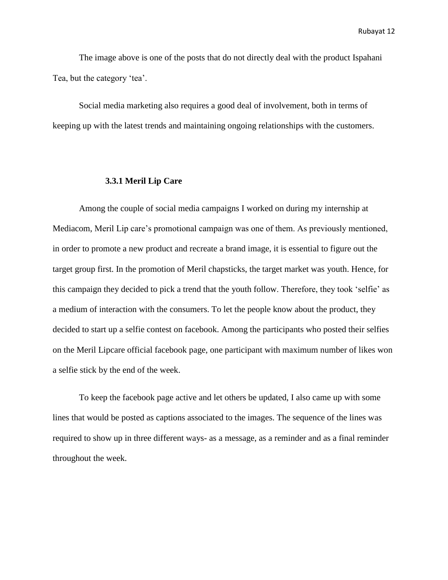The image above is one of the posts that do not directly deal with the product Ispahani Tea, but the category 'tea'.

Social media marketing also requires a good deal of involvement, both in terms of keeping up with the latest trends and maintaining ongoing relationships with the customers.

## **3.3.1 Meril Lip Care**

Among the couple of social media campaigns I worked on during my internship at Mediacom, Meril Lip care"s promotional campaign was one of them. As previously mentioned, in order to promote a new product and recreate a brand image, it is essential to figure out the target group first. In the promotion of Meril chapsticks, the target market was youth. Hence, for this campaign they decided to pick a trend that the youth follow. Therefore, they took "selfie" as a medium of interaction with the consumers. To let the people know about the product, they decided to start up a selfie contest on facebook. Among the participants who posted their selfies on the Meril Lipcare official facebook page, one participant with maximum number of likes won a selfie stick by the end of the week.

To keep the facebook page active and let others be updated, I also came up with some lines that would be posted as captions associated to the images. The sequence of the lines was required to show up in three different ways- as a message, as a reminder and as a final reminder throughout the week.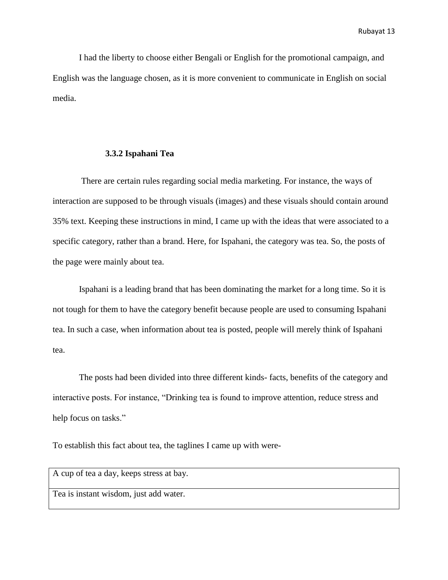I had the liberty to choose either Bengali or English for the promotional campaign, and English was the language chosen, as it is more convenient to communicate in English on social media.

#### **3.3.2 Ispahani Tea**

There are certain rules regarding social media marketing. For instance, the ways of interaction are supposed to be through visuals (images) and these visuals should contain around 35% text. Keeping these instructions in mind, I came up with the ideas that were associated to a specific category, rather than a brand. Here, for Ispahani, the category was tea. So, the posts of the page were mainly about tea.

Ispahani is a leading brand that has been dominating the market for a long time. So it is not tough for them to have the category benefit because people are used to consuming Ispahani tea. In such a case, when information about tea is posted, people will merely think of Ispahani tea.

The posts had been divided into three different kinds- facts, benefits of the category and interactive posts. For instance, "Drinking tea is found to improve attention, reduce stress and help focus on tasks."

To establish this fact about tea, the taglines I came up with were-

A cup of tea a day, keeps stress at bay.

Tea is instant wisdom, just add water.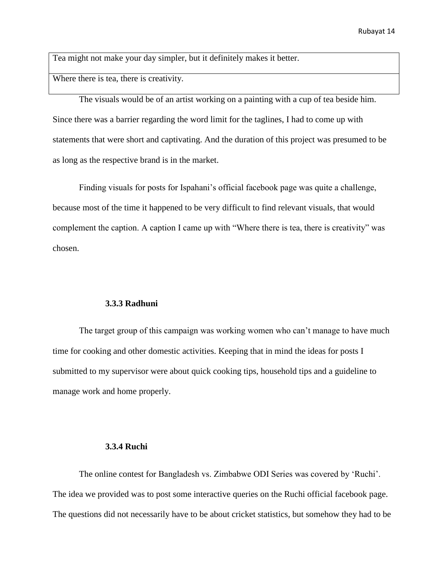Tea might not make your day simpler, but it definitely makes it better.

Where there is tea, there is creativity.

The visuals would be of an artist working on a painting with a cup of tea beside him. Since there was a barrier regarding the word limit for the taglines, I had to come up with statements that were short and captivating. And the duration of this project was presumed to be as long as the respective brand is in the market.

Finding visuals for posts for Ispahani"s official facebook page was quite a challenge, because most of the time it happened to be very difficult to find relevant visuals, that would complement the caption. A caption I came up with "Where there is tea, there is creativity" was chosen.

#### **3.3.3 Radhuni**

The target group of this campaign was working women who can"t manage to have much time for cooking and other domestic activities. Keeping that in mind the ideas for posts I submitted to my supervisor were about quick cooking tips, household tips and a guideline to manage work and home properly.

#### **3.3.4 Ruchi**

The online contest for Bangladesh vs. Zimbabwe ODI Series was covered by "Ruchi". The idea we provided was to post some interactive queries on the Ruchi official facebook page. The questions did not necessarily have to be about cricket statistics, but somehow they had to be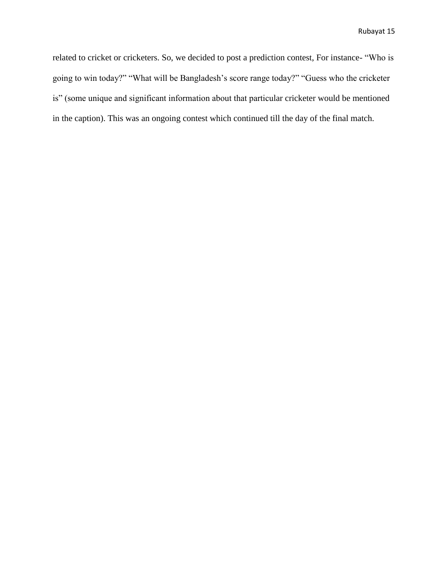related to cricket or cricketers. So, we decided to post a prediction contest, For instance- "Who is going to win today?" "What will be Bangladesh"s score range today?" "Guess who the cricketer is" (some unique and significant information about that particular cricketer would be mentioned in the caption). This was an ongoing contest which continued till the day of the final match.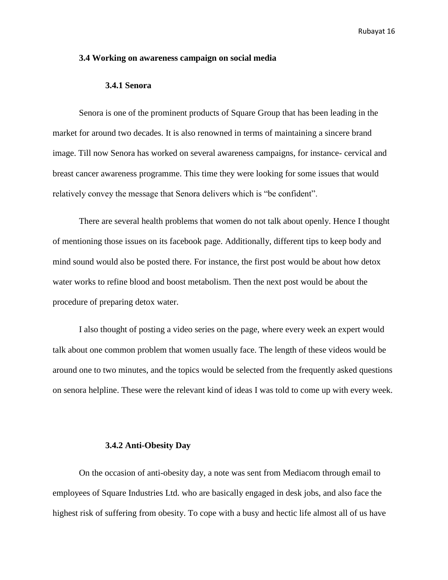## **3.4 Working on awareness campaign on social media**

#### **3.4.1 Senora**

Senora is one of the prominent products of Square Group that has been leading in the market for around two decades. It is also renowned in terms of maintaining a sincere brand image. Till now Senora has worked on several awareness campaigns, for instance- cervical and breast cancer awareness programme. This time they were looking for some issues that would relatively convey the message that Senora delivers which is "be confident".

There are several health problems that women do not talk about openly. Hence I thought of mentioning those issues on its facebook page. Additionally, different tips to keep body and mind sound would also be posted there. For instance, the first post would be about how detox water works to refine blood and boost metabolism. Then the next post would be about the procedure of preparing detox water.

I also thought of posting a video series on the page, where every week an expert would talk about one common problem that women usually face. The length of these videos would be around one to two minutes, and the topics would be selected from the frequently asked questions on senora helpline. These were the relevant kind of ideas I was told to come up with every week.

## **3.4.2 Anti-Obesity Day**

On the occasion of anti-obesity day, a note was sent from Mediacom through email to employees of Square Industries Ltd. who are basically engaged in desk jobs, and also face the highest risk of suffering from obesity. To cope with a busy and hectic life almost all of us have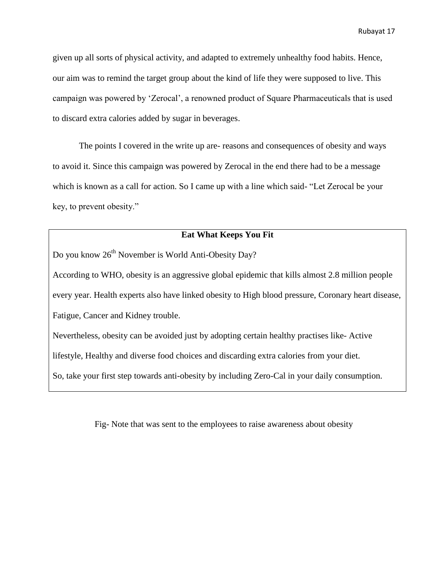given up all sorts of physical activity, and adapted to extremely unhealthy food habits. Hence, our aim was to remind the target group about the kind of life they were supposed to live. This campaign was powered by "Zerocal", a renowned product of Square Pharmaceuticals that is used to discard extra calories added by sugar in beverages.

The points I covered in the write up are- reasons and consequences of obesity and ways to avoid it. Since this campaign was powered by Zerocal in the end there had to be a message which is known as a call for action. So I came up with a line which said- "Let Zerocal be your key, to prevent obesity."

## **Eat What Keeps You Fit**

Do you know  $26<sup>th</sup>$  November is World Anti-Obesity Day?

According to WHO, obesity is an aggressive global epidemic that kills almost 2.8 million people every year. Health experts also have linked obesity to High blood pressure, Coronary heart disease, Fatigue, Cancer and Kidney trouble.

Nevertheless, obesity can be avoided just by adopting certain healthy practises like- Active

lifestyle, Healthy and diverse food choices and discarding extra calories from your diet.

So, take your first step towards anti-obesity by including Zero-Cal in your daily consumption.

Fig- Note that was sent to the employees to raise awareness about obesity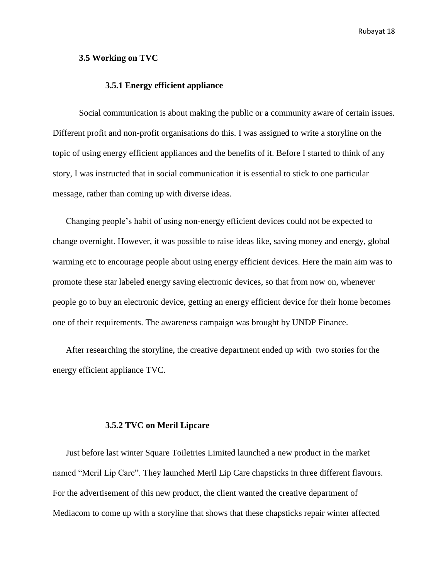## **3.5 Working on TVC**

## **3.5.1 Energy efficient appliance**

Social communication is about making the public or a community aware of certain issues. Different profit and non-profit organisations do this. I was assigned to write a storyline on the topic of using energy efficient appliances and the benefits of it. Before I started to think of any story, I was instructed that in social communication it is essential to stick to one particular message, rather than coming up with diverse ideas.

Changing people"s habit of using non-energy efficient devices could not be expected to change overnight. However, it was possible to raise ideas like, saving money and energy, global warming etc to encourage people about using energy efficient devices. Here the main aim was to promote these star labeled energy saving electronic devices, so that from now on, whenever people go to buy an electronic device, getting an energy efficient device for their home becomes one of their requirements. The awareness campaign was brought by UNDP Finance.

After researching the storyline, the creative department ended up with two stories for the energy efficient appliance TVC.

## **3.5.2 TVC on Meril Lipcare**

Just before last winter Square Toiletries Limited launched a new product in the market named "Meril Lip Care". They launched Meril Lip Care chapsticks in three different flavours. For the advertisement of this new product, the client wanted the creative department of Mediacom to come up with a storyline that shows that these chapsticks repair winter affected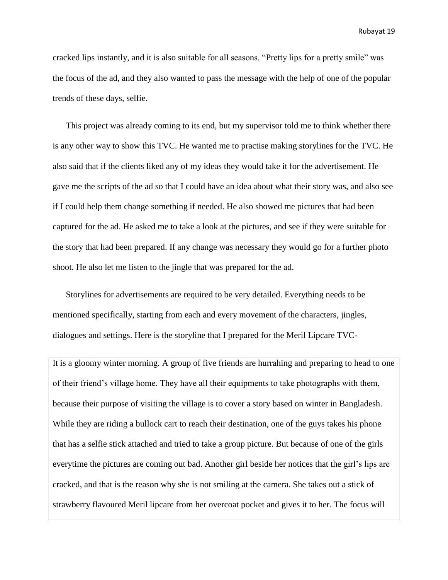cracked lips instantly, and it is also suitable for all seasons. "Pretty lips for a pretty smile" was the focus of the ad, and they also wanted to pass the message with the help of one of the popular trends of these days, selfie.

This project was already coming to its end, but my supervisor told me to think whether there is any other way to show this TVC. He wanted me to practise making storylines for the TVC. He also said that if the clients liked any of my ideas they would take it for the advertisement. He gave me the scripts of the ad so that I could have an idea about what their story was, and also see if I could help them change something if needed. He also showed me pictures that had been captured for the ad. He asked me to take a look at the pictures, and see if they were suitable for the story that had been prepared. If any change was necessary they would go for a further photo shoot. He also let me listen to the jingle that was prepared for the ad.

Storylines for advertisements are required to be very detailed. Everything needs to be mentioned specifically, starting from each and every movement of the characters, jingles, dialogues and settings. Here is the storyline that I prepared for the Meril Lipcare TVC-

It is a gloomy winter morning. A group of five friends are hurrahing and preparing to head to one of their friend"s village home. They have all their equipments to take photographs with them, because their purpose of visiting the village is to cover a story based on winter in Bangladesh. While they are riding a bullock cart to reach their destination, one of the guys takes his phone that has a selfie stick attached and tried to take a group picture. But because of one of the girls everytime the pictures are coming out bad. Another girl beside her notices that the girl's lips are cracked, and that is the reason why she is not smiling at the camera. She takes out a stick of strawberry flavoured Meril lipcare from her overcoat pocket and gives it to her. The focus will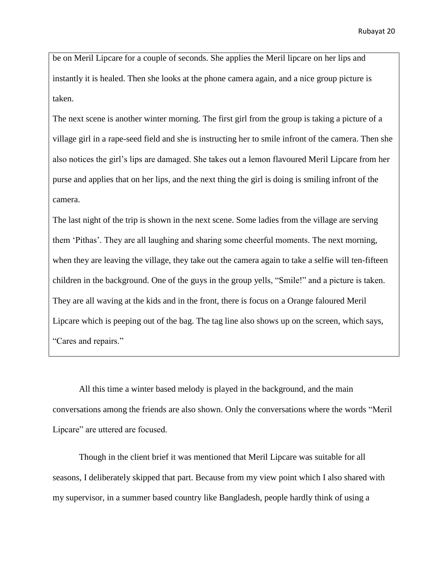be on Meril Lipcare for a couple of seconds. She applies the Meril lipcare on her lips and instantly it is healed. Then she looks at the phone camera again, and a nice group picture is taken.

The next scene is another winter morning. The first girl from the group is taking a picture of a village girl in a rape-seed field and she is instructing her to smile infront of the camera. Then she also notices the girl"s lips are damaged. She takes out a lemon flavoured Meril Lipcare from her purse and applies that on her lips, and the next thing the girl is doing is smiling infront of the camera.

The last night of the trip is shown in the next scene. Some ladies from the village are serving them "Pithas". They are all laughing and sharing some cheerful moments. The next morning, when they are leaving the village, they take out the camera again to take a selfie will ten-fifteen children in the background. One of the guys in the group yells, "Smile!" and a picture is taken. They are all waving at the kids and in the front, there is focus on a Orange faloured Meril Lipcare which is peeping out of the bag. The tag line also shows up on the screen, which says, "Cares and repairs."

All this time a winter based melody is played in the background, and the main conversations among the friends are also shown. Only the conversations where the words "Meril Lipcare" are uttered are focused.

Though in the client brief it was mentioned that Meril Lipcare was suitable for all seasons, I deliberately skipped that part. Because from my view point which I also shared with my supervisor, in a summer based country like Bangladesh, people hardly think of using a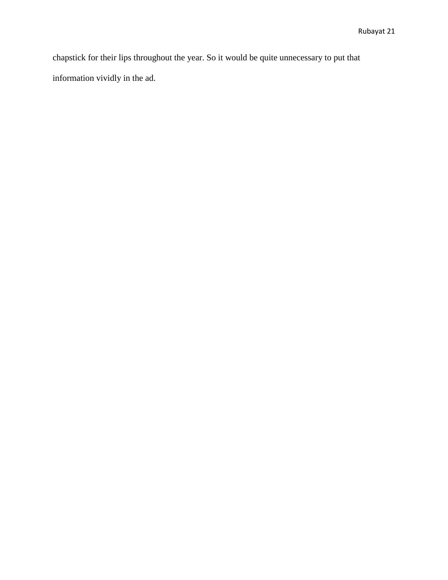chapstick for their lips throughout the year. So it would be quite unnecessary to put that information vividly in the ad.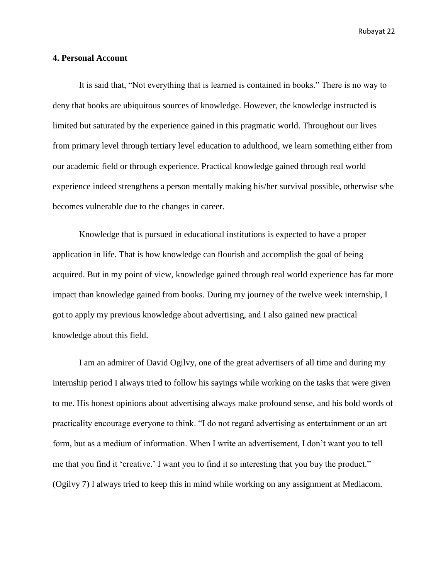## **4. Personal Account**

It is said that, "Not everything that is learned is contained in books." There is no way to deny that books are ubiquitous sources of knowledge. However, the knowledge instructed is limited but saturated by the experience gained in this pragmatic world. Throughout our lives from primary level through tertiary level education to adulthood, we learn something either from our academic field or through experience. Practical knowledge gained through real world experience indeed strengthens a person mentally making his/her survival possible, otherwise s/he becomes vulnerable due to the changes in career.

Knowledge that is pursued in educational institutions is expected to have a proper application in life. That is how knowledge can flourish and accomplish the goal of being acquired. But in my point of view, knowledge gained through real world experience has far more impact than knowledge gained from books. During my journey of the twelve week internship, I got to apply my previous knowledge about advertising, and I also gained new practical knowledge about this field.

I am an admirer of David Ogilvy, one of the great advertisers of all time and during my internship period I always tried to follow his sayings while working on the tasks that were given to me. His honest opinions about advertising always make profound sense, and his bold words of practicality encourage everyone to think. "I do not regard advertising as entertainment or an art form, but as a medium of information. When I write an advertisement, I don"t want you to tell me that you find it 'creative.' I want you to find it so interesting that you buy the product." (Ogilvy 7) I always tried to keep this in mind while working on any assignment at Mediacom.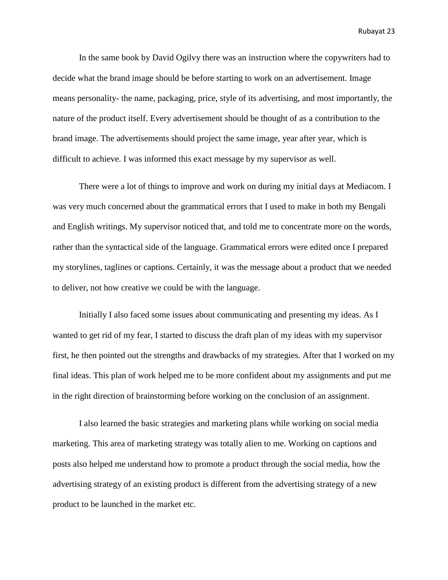In the same book by David Ogilvy there was an instruction where the copywriters had to decide what the brand image should be before starting to work on an advertisement. Image means personality- the name, packaging, price, style of its advertising, and most importantly, the nature of the product itself. Every advertisement should be thought of as a contribution to the brand image. The advertisements should project the same image, year after year, which is difficult to achieve. I was informed this exact message by my supervisor as well.

There were a lot of things to improve and work on during my initial days at Mediacom. I was very much concerned about the grammatical errors that I used to make in both my Bengali and English writings. My supervisor noticed that, and told me to concentrate more on the words, rather than the syntactical side of the language. Grammatical errors were edited once I prepared my storylines, taglines or captions. Certainly, it was the message about a product that we needed to deliver, not how creative we could be with the language.

Initially I also faced some issues about communicating and presenting my ideas. As I wanted to get rid of my fear, I started to discuss the draft plan of my ideas with my supervisor first, he then pointed out the strengths and drawbacks of my strategies. After that I worked on my final ideas. This plan of work helped me to be more confident about my assignments and put me in the right direction of brainstorming before working on the conclusion of an assignment.

I also learned the basic strategies and marketing plans while working on social media marketing. This area of marketing strategy was totally alien to me. Working on captions and posts also helped me understand how to promote a product through the social media, how the advertising strategy of an existing product is different from the advertising strategy of a new product to be launched in the market etc.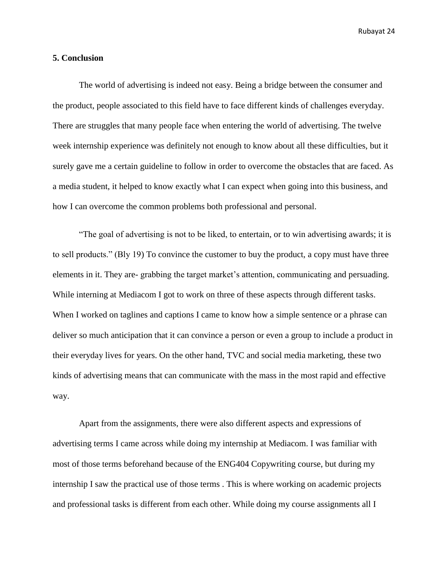## **5. Conclusion**

The world of advertising is indeed not easy. Being a bridge between the consumer and the product, people associated to this field have to face different kinds of challenges everyday. There are struggles that many people face when entering the world of advertising. The twelve week internship experience was definitely not enough to know about all these difficulties, but it surely gave me a certain guideline to follow in order to overcome the obstacles that are faced. As a media student, it helped to know exactly what I can expect when going into this business, and how I can overcome the common problems both professional and personal.

"The goal of advertising is not to be liked, to entertain, or to win advertising awards; it is to sell products." (Bly 19) To convince the customer to buy the product, a copy must have three elements in it. They are- grabbing the target market's attention, communicating and persuading. While interning at Mediacom I got to work on three of these aspects through different tasks. When I worked on taglines and captions I came to know how a simple sentence or a phrase can deliver so much anticipation that it can convince a person or even a group to include a product in their everyday lives for years. On the other hand, TVC and social media marketing, these two kinds of advertising means that can communicate with the mass in the most rapid and effective way.

Apart from the assignments, there were also different aspects and expressions of advertising terms I came across while doing my internship at Mediacom. I was familiar with most of those terms beforehand because of the ENG404 Copywriting course, but during my internship I saw the practical use of those terms . This is where working on academic projects and professional tasks is different from each other. While doing my course assignments all I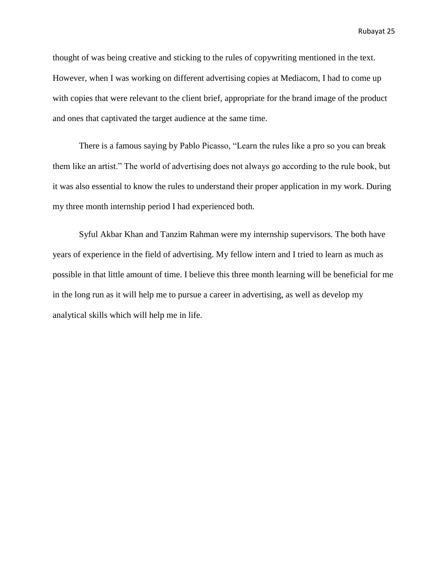thought of was being creative and sticking to the rules of copywriting mentioned in the text. However, when I was working on different advertising copies at Mediacom, I had to come up with copies that were relevant to the client brief, appropriate for the brand image of the product and ones that captivated the target audience at the same time.

There is a famous saying by Pablo Picasso, "Learn the rules like a pro so you can break them like an artist." The world of advertising does not always go according to the rule book, but it was also essential to know the rules to understand their proper application in my work. During my three month internship period I had experienced both.

Syful Akbar Khan and Tanzim Rahman were my internship supervisors. The both have years of experience in the field of advertising. My fellow intern and I tried to learn as much as possible in that little amount of time. I believe this three month learning will be beneficial for me in the long run as it will help me to pursue a career in advertising, as well as develop my analytical skills which will help me in life.